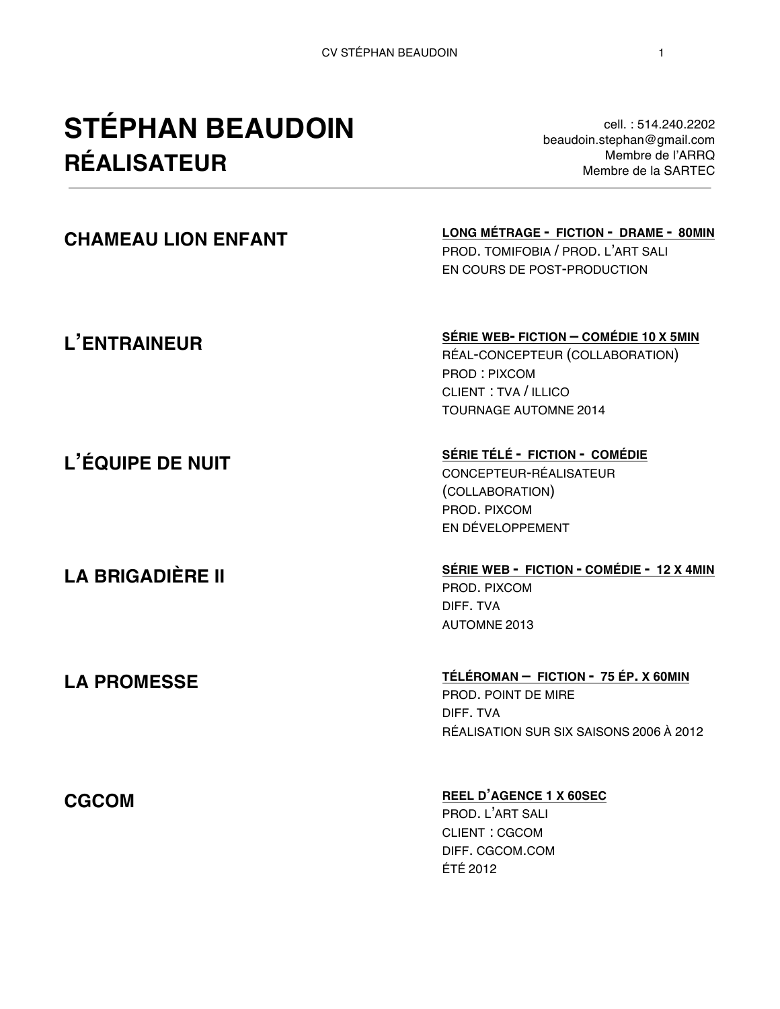# **STÉPHAN BEAUDOIN RÉALISATEUR**

cell. : 514.240.2202 beaudoin.stephan@gmail.com Membre de l'ARRQ Membre de la SARTEC

## **CHAMEAU LION ENFANT LONG MÉTRAGE - FICTION - DRAME - 80MIN** PROD. TOMIFOBIA / PROD. L'ART SALI EN COURS DE POST-PRODUCTION **L'ENTRAINEUR L'ÉQUIPE DE NUIT LA BRIGADIÈRE II SÉRIE WEB- FICTION – COMÉDIE 10 X 5MIN** RÉAL-CONCEPTEUR (COLLABORATION) PROD : PIXCOM CLIENT : TVA / ILLICO TOURNAGE AUTOMNE 2014 **SÉRIE TÉLÉ - FICTION - COMÉDIE** CONCEPTEUR-RÉALISATEUR (COLLABORATION) PROD. PIXCOM EN DÉVELOPPEMENT **SÉRIE WEB - FICTION - COMÉDIE - 12 X 4MIN** PROD. PIXCOM DIFF. TVA AUTOMNE 2013 **LA PROMESSE TÉLÉROMAN – FICTION - 75 ÉP. X 60MIN**  PROD. POINT DE MIRE DIFF. TVA RÉALISATION SUR SIX SAISONS 2006 À 2012 **CGCOM REEL D'AGENCE <sup>1</sup> X 60SEC**

PROD. L'ART SALI CLIENT : CGCOM DIFF. CGCOM.COM ÉTÉ 2012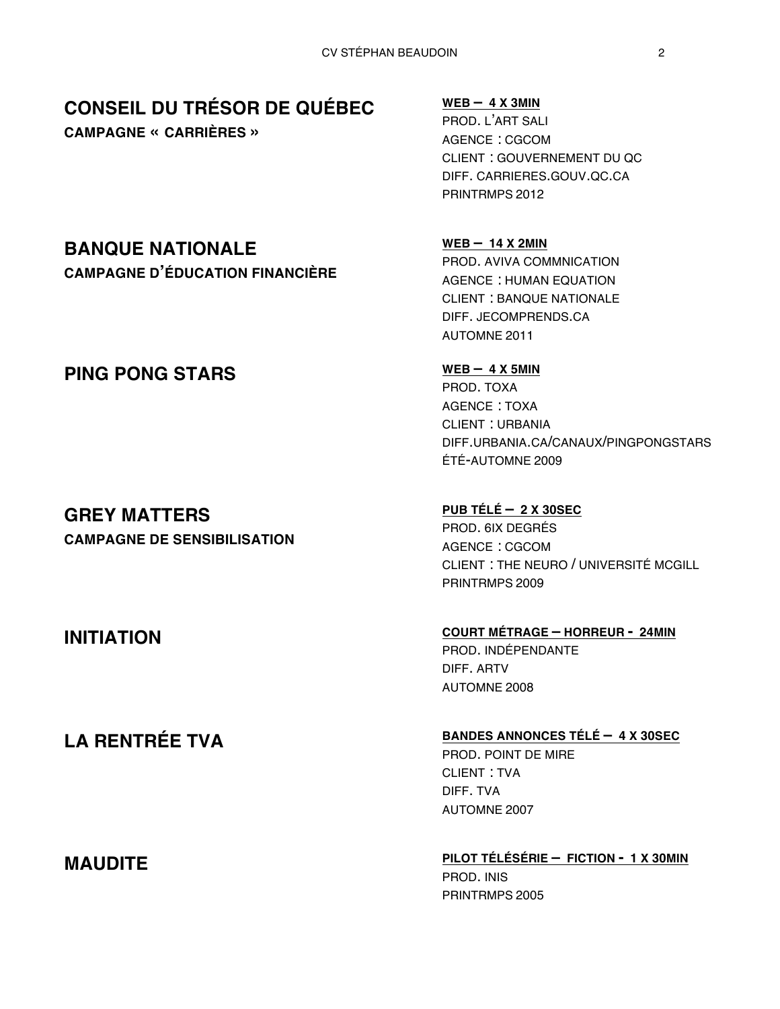## **CONSEIL DU TRÉSOR DE QUÉBEC**

**CAMPAGNE « CARRIÈRES »**

### **WEB – 4 X 3MIN**

PROD. L'ART SALI AGENCE : CGCOM CLIENT : GOUVERNEMENT DU QC DIFF. CARRIERES.GOUV.QC.CA PRINTRMPS 2012

**WEB – 14 X 2MIN** PROD. AVIVA COMMNICATION AGENCE : HUMAN EQUATION CLIENT : BANQUE NATIONALE DIFF. JECOMPRENDS.CA AUTOMNE 2011

PROD. TOXA AGENCE : TOXA CLIENT : URBANIA DIFF.URBANIA.CA/CANAUX/PINGPONGSTARS ÉTÉ-AUTOMNE 2009

**PUB TÉLÉ – 2 X 30SEC** PROD. 6IX DEGRÉS AGENCE : CGCOM CLIENT : THE NEURO / UNIVERSITÉ MCGILL PRINTRMPS 2009

## **INITIATION COURT MÉTRAGE – HORREUR - 24MIN**

PROD. INDÉPENDANTE DIFF. ARTV AUTOMNE 2008

**LA RENTRÉE TVA BANDES ANNONCES TÉLÉ – 4 X 30SEC**

PROD. POINT DE MIRE CLIENT : TVA DIFF. TVA AUTOMNE 2007

**MAUDITE PILOT TÉLÉSÉRIE – FICTION - 1 X 30MIN** PROD. INIS PRINTRMPS 2005

## **BANQUE NATIONALE**

**CAMPAGNE D'ÉDUCATION FINANCIÈRE**

## **PING PONG STARS** WEB – 4 X 5MIN

# **GREY MATTERS**

**CAMPAGNE DE SENSIBILISATION**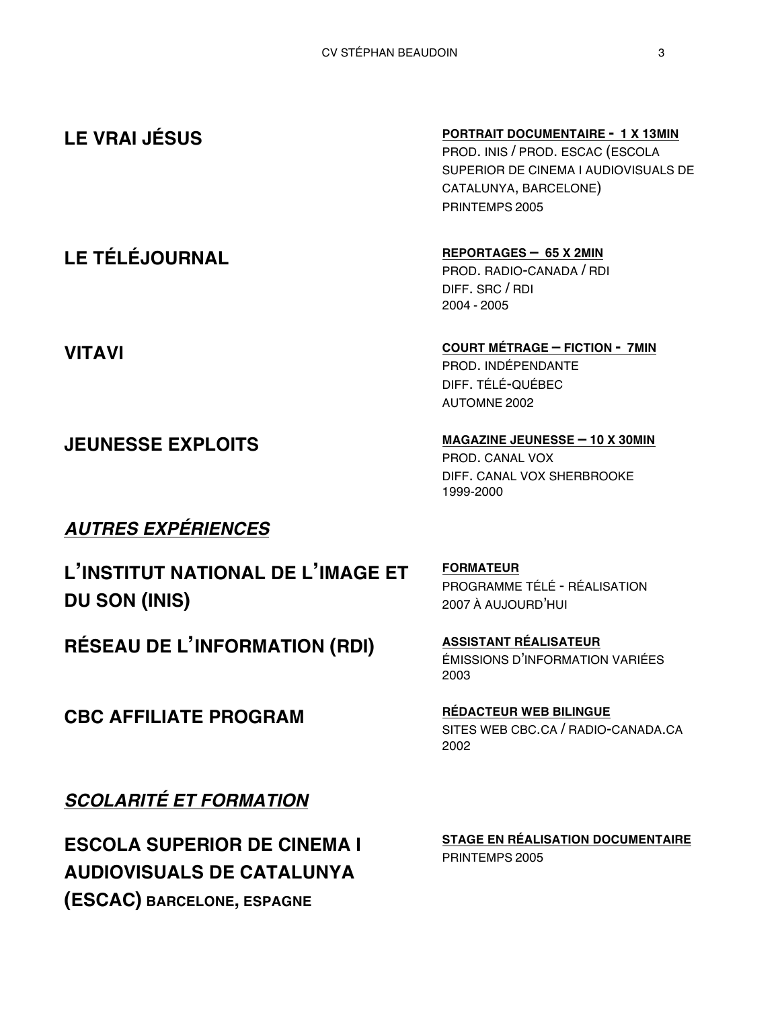| <b>LE VRAI JÉSUS</b>     | <b>PORTRAIT DOCUMENTAIRE - 1 X 13MIN</b><br>PROD. INIS / PROD. ESCAC (ESCOLA<br>SUPERIOR DE CINEMA I AUDIOVISUALS DE<br>CATALUNYA, BARCELONE)<br>PRINTEMPS 2005 |
|--------------------------|-----------------------------------------------------------------------------------------------------------------------------------------------------------------|
| <b>LE TÉLÉJOURNAL</b>    | REPORTAGES - 65 X 2MIN<br>PROD. RADIO-CANADA / RDI<br>DIFF. SRC / RDI<br>2004 - 2005                                                                            |
| <b>VITAVI</b>            | <b>COURT MÉTRAGE - FICTION - 7MIN</b><br>PROD. INDÉPENDANTE<br>DIFF. TÉLÉ-QUÉBEC<br><b>AUTOMNE 2002</b>                                                         |
| <b>JEUNESSE EXPLOITS</b> | MAGAZINE JEUNESSE - 10 X 30MIN<br>PROD. CANAL VOX<br>DIFF. CANAL VOX SHERBROOKE<br>1999-2000                                                                    |
| <u>≁</u>                 |                                                                                                                                                                 |

## *AUTRES EXPÉRIENCES*

**L'INSTITUT NATIONAL DE L'IMAGE ET DU SON (INIS)**

**RÉSEAU DE L'INFORMATION (RDI) ASSISTANT RÉALISATEUR**

**FORMATEUR** PROGRAMME TÉLÉ - RÉALISATION 2007 À AUJOURD'HUI

ÉMISSIONS D'INFORMATION VARIÉES 2003

SITES WEB CBC.CA / RADIO-CANADA.CA

2002

**CBC AFFILIATE PROGRAM RÉDACTEUR WEB BILINGUE**

*SCOLARITÉ ET FORMATION*

**ESCOLA SUPERIOR DE CINEMA I AUDIOVISUALS DE CATALUNYA (ESCAC) BARCELONE, ESPAGNE**

**STAGE EN RÉALISATION DOCUMENTAIRE** PRINTEMPS 2005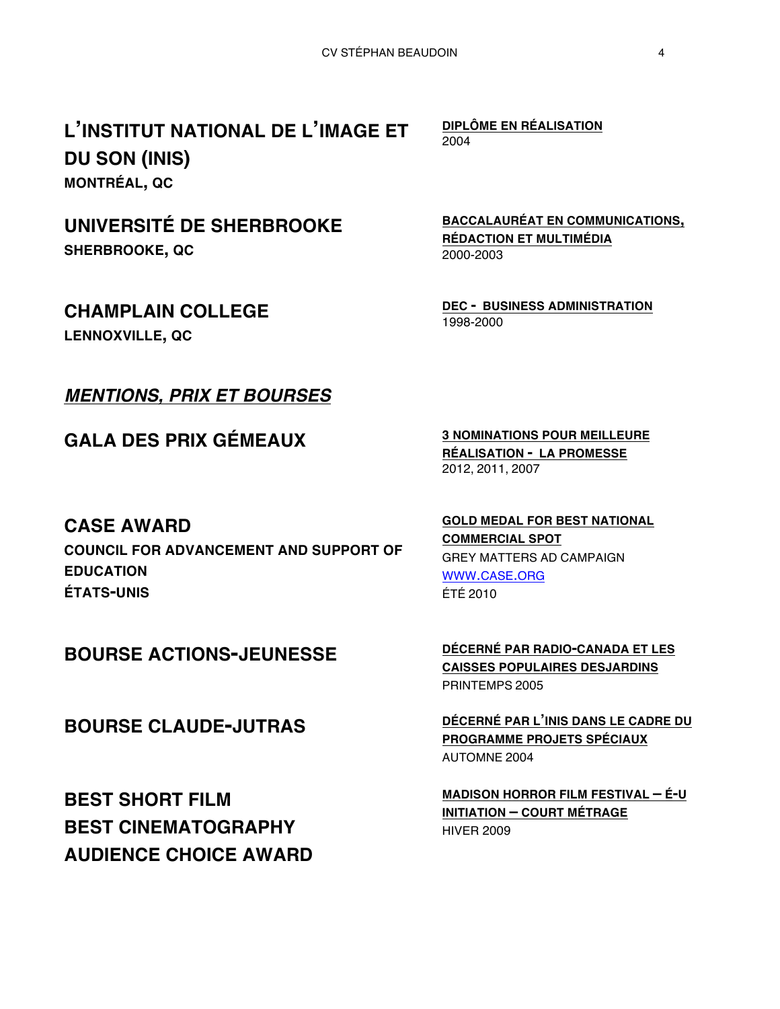**L'INSTITUT NATIONAL DE L'IMAGE ET DU SON (INIS) MONTRÉAL, QC**

# **UNIVERSITÉ DE SHERBROOKE**

**SHERBROOKE, QC**

## **CHAMPLAIN COLLEGE**

**LENNOXVILLE, QC**

## *MENTIONS, PRIX ET BOURSES*

**GALA DES PRIX GÉMEAUX <sup>3</sup> NOMINATIONS POUR MEILLEURE** 

**DIPLÔME EN RÉALISATION** 2004

**BACCALAURÉAT EN COMMUNICATIONS, RÉDACTION ET MULTIMÉDIA** 2000-2003

**DEC - BUSINESS ADMINISTRATION** 1998-2000

**RÉALISATION - LA PROMESSE** 2012, 2011, 2007

## **CASE AWARD**

**COUNCIL FOR ADVANCEMENT AND SUPPORT OF EDUCATION ÉTATS-UNIS**

**GOLD MEDAL FOR BEST NATIONAL COMMERCIAL SPOT** GREY MATTERS AD CAMPAIGN WWW.CASE.ORG ÉTÉ 2010

**BEST SHORT FILM BEST CINEMATOGRAPHY AUDIENCE CHOICE AWARD**

**BOURSE ACTIONS-JEUNESSE DÉCERNÉ PAR RADIO-CANADA ET LES CAISSES POPULAIRES DESJARDINS** PRINTEMPS 2005

**BOURSE CLAUDE-JUTRAS DÉCERNÉ PAR L'INIS DANS LE CADRE DU PROGRAMME PROJETS SPÉCIAUX** AUTOMNE 2004

> **MADISON HORROR FILM FESTIVAL – É-U INITIATION – COURT MÉTRAGE** HIVER 2009